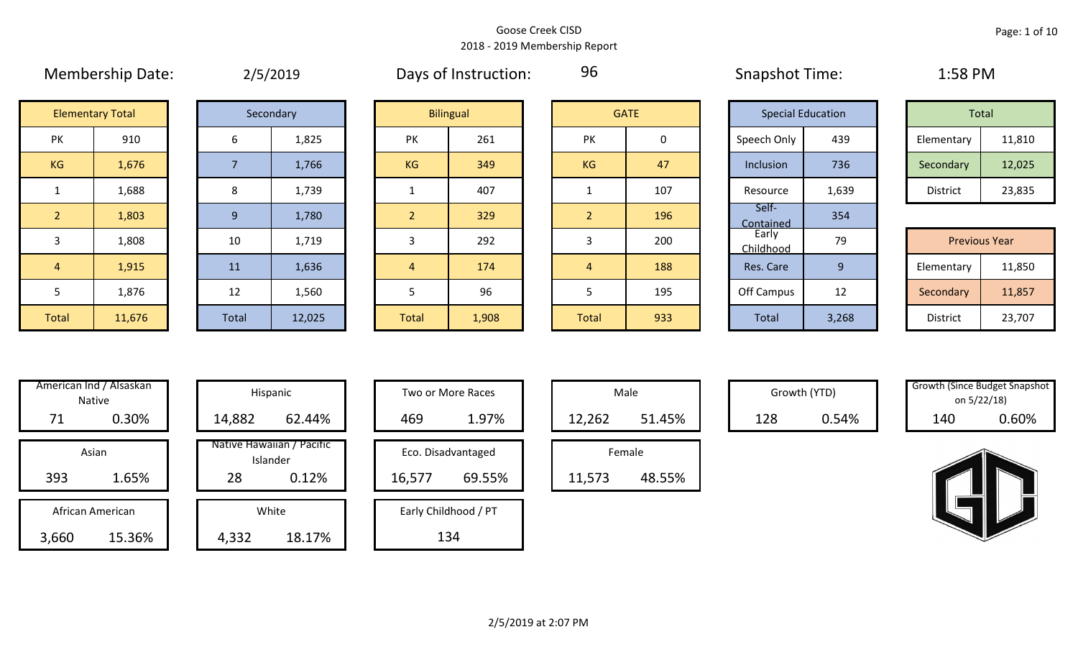# Membership Date:  $\mu$  2/5/2019 Days of Instruction: 96 Snapshot Time: 1:58 PM

96

| Total           |        |  |  |  |  |  |
|-----------------|--------|--|--|--|--|--|
| Elementary      | 11,810 |  |  |  |  |  |
| Secondary       | 12,025 |  |  |  |  |  |
| <b>District</b> | 23,835 |  |  |  |  |  |

| <b>Previous Year</b> |        |  |  |  |  |  |  |
|----------------------|--------|--|--|--|--|--|--|
| Elementary           | 11,850 |  |  |  |  |  |  |
| Secondary            | 11,857 |  |  |  |  |  |  |
| <b>District</b>      | 23,707 |  |  |  |  |  |  |

|                | <b>Elementary Total</b> | Secondary |   |
|----------------|-------------------------|-----------|---|
| PK             | 910                     | 6         |   |
| <b>KG</b>      | 1,676                   | 7         |   |
| 1              | 1,688                   | 8         |   |
| $\overline{2}$ | 1,803                   | 9         |   |
| 3              | 1,808                   | 10        |   |
| 4              | 1,915                   | 11        |   |
| 5              | 1,876                   | 12        |   |
| <b>Total</b>   | 11,676                  | Total     | 1 |

|              | Secondary |
|--------------|-----------|
| 6            | 1,825     |
| 7            | 1,766     |
| 8            | 1,739     |
| 9            | 1,780     |
| 10           | 1,719     |
| 11           | 1,636     |
| 12           | 1,560     |
| <b>Total</b> | 12,025    |

| <b>Elementary Total</b> |        | Secondary |        |  | <b>Bilingual</b> |       |           |     |                    | <b>GATE</b> | <b>Special Education</b> |        | Total |  |
|-------------------------|--------|-----------|--------|--|------------------|-------|-----------|-----|--------------------|-------------|--------------------------|--------|-------|--|
| PK                      | 910    | 6         | 1,825  |  | <b>PK</b>        | 261   | <b>PK</b> | 0   | Speech Only        | 439         | Elementary               | 11,810 |       |  |
| KG                      | 1,676  |           | 1,766  |  | KG               | 349   | KG        | 47  | Inclusion          | 736         | Secondary                | 12,025 |       |  |
| $\mathbf{1}$            | 1,688  | 8         | 1,739  |  |                  | 407   |           | 107 | Resource           | 1,639       | District                 | 23,835 |       |  |
| $\overline{2}$          | 1,803  | 9         | 1,780  |  | $\overline{2}$   | 329   |           | 196 | Self-<br>Contained | 354         |                          |        |       |  |
| $\overline{3}$          | 1,808  | 10        | 1,719  |  |                  | 292   |           | 200 | Early<br>Childhood | 79          | <b>Previous Year</b>     |        |       |  |
| $\overline{4}$          | 1,915  | 11        | 1,636  |  | $\overline{4}$   | 174   | 4         | 188 | Res. Care          | 9           | Elementary               | 11,850 |       |  |
| 5                       | 1,876  | 12        | 1,560  |  |                  | 96    |           | 195 | Off Campus         | 12          | Secondary                | 11,857 |       |  |
| Total                   | 11,676 | Total     | 12,025 |  | Total            | 1,908 | Total     | 933 | <b>Total</b>       | 3,268       | District                 | 23,707 |       |  |

| <b>GATE</b>    |     |  |  |  |  |  |
|----------------|-----|--|--|--|--|--|
| PK             | 0   |  |  |  |  |  |
| <b>KG</b>      | 47  |  |  |  |  |  |
| 1              | 107 |  |  |  |  |  |
| $\overline{2}$ | 196 |  |  |  |  |  |
| 3              | 200 |  |  |  |  |  |
| 4              | 188 |  |  |  |  |  |
| 5              | 195 |  |  |  |  |  |
| <b>Total</b>   | 933 |  |  |  |  |  |

|                           | <b>Special Education</b> |                      | <b>Total</b>    |        |
|---------------------------|--------------------------|----------------------|-----------------|--------|
| Speech Only               | 439                      |                      | Elementary      | 11,810 |
| Inclusion                 | 736                      |                      | Secondary       | 12,025 |
| Resource                  | 1,639                    |                      | <b>District</b> | 23,835 |
| Self-<br><b>Contained</b> | 354                      |                      |                 |        |
| Early<br>Childhood        | 79                       | <b>Previous Year</b> |                 |        |
| Res. Care                 | 9                        |                      | Elementary      | 11,850 |
| Off Campus                | 12                       |                      | Secondary       | 11,857 |
| <b>Total</b>              | 3,268                    |                      | <b>District</b> | 23,707 |

|       | American Ind / Alsaskan<br><b>Native</b> |        | Hispanic                              |
|-------|------------------------------------------|--------|---------------------------------------|
| 71    | 0.30%                                    | 14,882 | 62.44%                                |
|       | Asian                                    |        | Native Hawaiian / Pacific<br>Islander |
| 393   | 1.65%                                    | 28     | 0.12%                                 |
|       | African American                         |        | White                                 |
| 3,660 | 15.36%                                   | 4,332  | 18.17%                                |

|            | merican Ind / Alsaskan<br>Native |        | Hispanic                              |        | Two or More Races    |        | Male   |     | Growth (YTD) | Growth (Since Budget Snaps)<br>on 5/22/18) |       |
|------------|----------------------------------|--------|---------------------------------------|--------|----------------------|--------|--------|-----|--------------|--------------------------------------------|-------|
| 71         | 0.30%                            | 14,882 | 62.44%                                | 469    | 1.97%                | 12,262 | 51.45% | 128 | 0.54%        | 140                                        | 0.60% |
|            | Asian                            |        | Native Hawaiian / Pacific<br>Islander |        | Eco. Disadvantaged   |        | Female |     |              |                                            |       |
| 393        | 1.65%                            | 28     | 0.12%                                 | 16,577 | 69.55%               | 11,573 | 48.55% |     |              |                                            |       |
|            | African American                 |        | White                                 |        | Early Childhood / PT |        |        |     |              |                                            |       |
| <b>GGN</b> | $15.36\%$                        | A 332  | 18 17%                                |        | 13 <sub>A</sub>      |        |        |     |              |                                            |       |

| Hispanic                       | Two or More Races |                      |  |        | Male   |
|--------------------------------|-------------------|----------------------|--|--------|--------|
| 62.44%                         | 469               | 1.97%                |  | 12,262 |        |
| lawaiian / Pacific<br>Islander |                   | Eco. Disadvantaged   |  |        | Female |
| 0.12%                          | 16,577            | 69.55%               |  | 11,573 |        |
| White                          |                   | Early Childhood / PT |  |        |        |
| 18.17%                         |                   | 134                  |  |        |        |

| Male   |        |  |  |  |  |  |  |
|--------|--------|--|--|--|--|--|--|
| 12,262 | 51.45% |  |  |  |  |  |  |
|        | Female |  |  |  |  |  |  |
| 11,573 | 48.55% |  |  |  |  |  |  |

| Growth (YTD) |              |
|--------------|--------------|
| 128          | <u>በ 54%</u> |

| Male   |    | Growth (YTD) |       | <b>Growth (Since Budget Snapshot</b><br>on 5/22/18) |
|--------|----|--------------|-------|-----------------------------------------------------|
| 51.45% | วจ | 0.54%        | 140 I | $0.60\%$                                            |

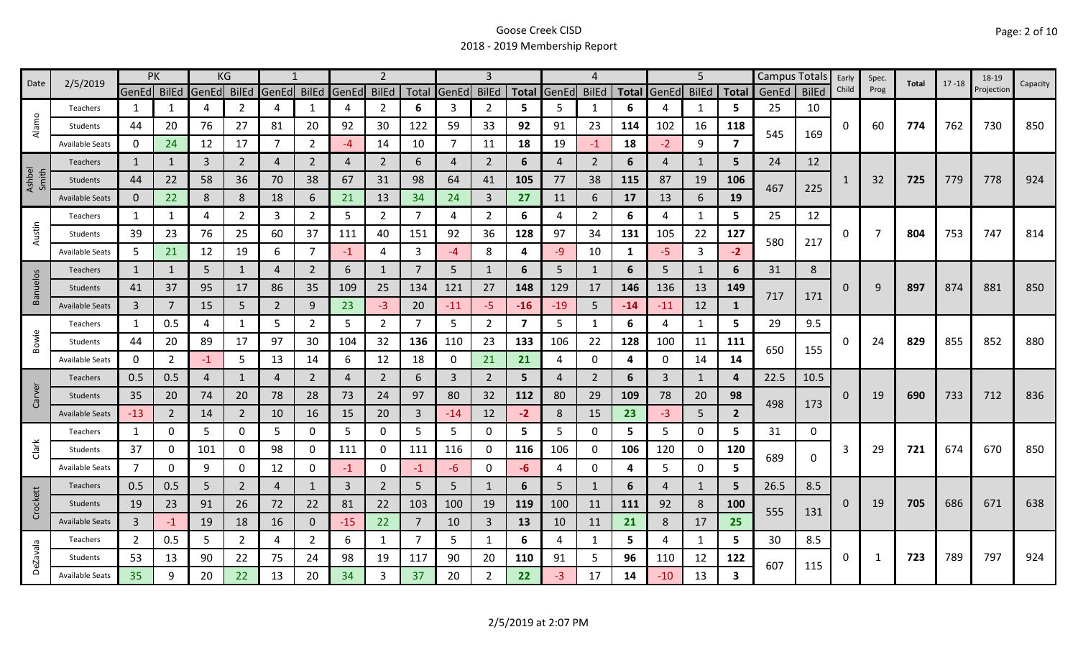| 2/5/2019<br>Date | PK                     |                | KG             |       |                |                |                | $\overline{2}$ |                |                | 3              |                |                | 4     |                |                         | 5           |                |                | Campus Totals | Early        | Spec. | Total | $17 - 18$ | 18-19 | Capacity   |     |
|------------------|------------------------|----------------|----------------|-------|----------------|----------------|----------------|----------------|----------------|----------------|----------------|----------------|----------------|-------|----------------|-------------------------|-------------|----------------|----------------|---------------|--------------|-------|-------|-----------|-------|------------|-----|
|                  |                        | GenEd BilEd    |                | GenEd | <b>BilEd</b>   | GenEd          | <b>BilEd</b>   | GenEd          | <b>BilEd</b>   |                | Total GenEd    | <b>BilEd</b>   | <b>Total</b>   | GenEd | <b>BilEd</b>   | <b>Total</b>            | GenEd       | <b>BilEd</b>   | <b>Total</b>   | GenEd         | <b>BilEd</b> | Child | Prog  |           |       | Projection |     |
|                  | Teachers               | 1              | 1              | 4     | 2              | $\overline{4}$ | 1              | 4              | $\overline{2}$ | 6              | 3              | $\overline{2}$ | 5              | 5     | -1             | 6                       | 4           | 1              | 5              | 25            | 10           |       |       |           |       |            |     |
| Alamo            | Students               | 44             | 20             | 76    | 27             | 81             | 20             | 92             | 30             | 122            | 59             | 33             | 92             | 91    | 23             | 114                     | 102         | 16             | 118            | 545           |              | 0     | 60    | 774       | 762   | 730        | 850 |
|                  | <b>Available Seats</b> | 0              | 24             | 12    | 17             | 7              | $\overline{2}$ | -4             | 14             | 10             | $\overline{7}$ | 11             | 18             | 19    | $-1$           | 18                      | $-2$        | 9              | 7              |               | 169          |       |       |           |       |            |     |
|                  | <b>Teachers</b>        | 1              |                | 3     | $\overline{2}$ | $\overline{4}$ | $\overline{2}$ | 4              | $\overline{2}$ | 6              | 4              | $\overline{2}$ | 6              | 4     | $\overline{2}$ | 6                       | 4           | $\mathbf{1}$   | 5.             | 24            | 12           |       |       |           |       |            |     |
| Ashbel<br>Smith  | Students               | 44             | 22             | 58    | 36             | 70             | 38             | 67             | 31             | 98             | 64             | 41             | 105            | 77    | 38             | 115                     | 87          | 19             | 106            |               |              |       | 32    | 725       | 779   | 778        | 924 |
|                  | <b>Available Seats</b> | $\mathbf{0}$   | 22             | 8     | 8              | 18             | 6              | 21             | 13             | 34             | 24             | 3              | 27             | 11    | 6              | 17                      | 13          | 6              | 19             | 467           | 225          |       |       |           |       |            |     |
|                  | Teachers               | 1              | 1              | 4     | $\overline{2}$ | 3              | $\overline{2}$ | 5              | $\overline{2}$ | 7              | 4              | $\overline{2}$ | 6              | 4     | $\overline{2}$ | 6                       | 4           | $\mathbf{1}$   | 5              | 25            | 12           |       |       |           |       |            |     |
| Austin           | Students               | 39             | 23             | 76    | 25             | 60             | 37             | 111            | 40             | 151            | 92             | 36             | 128            | 97    | 34             | 131                     | 105         | 22             | 127            |               |              | 0     | 7     | 804       | 753   | 747        | 814 |
|                  | <b>Available Seats</b> | 5              | 21             | 12    | 19             | 6              | $\overline{7}$ | $-1$           | 4              | 3              | $-4$           | 8              | 4              | $-9$  | 10             | $\mathbf{1}$            | $-5$        | $\overline{3}$ | $-2$           | 580           | 217          |       |       |           |       |            |     |
|                  | <b>Teachers</b>        | $\mathbf{1}$   | $\mathbf{1}$   | 5     | $\mathbf{1}$   | 4              | $\overline{2}$ | 6              | $\mathbf{1}$   | 7              | 5 <sup>1</sup> |                | 6              | 5     | $\mathbf{1}$   | 6                       | 5           | $\mathbf{1}$   | 6              | 31            | 8            |       |       |           |       |            |     |
| <b>Banuelos</b>  | Students               | 41             | 37             | 95    | 17             | 86             | 35             | 109            | 25             | 134            | 121            | 27             | 148            | 129   | 17             | 146                     | 136         | 13             | 149            |               |              | 0     | 9     | 897       | 874   | 881        | 850 |
|                  | <b>Available Seats</b> | $\overline{3}$ |                | 15    | 5              | $\overline{2}$ | 9              | 23             | $-3$           | 20             | $-11$          | -5.            | $-16$          | $-19$ | 5              | $-14$                   | $-11$       | 12             | 1              | 717           | 171          |       |       |           |       |            |     |
|                  | Teachers               | 1              | 0.5            | 4     | $\mathbf{1}$   | 5              | $\overline{2}$ | 5              | $\overline{2}$ | 7              | 5              | $\overline{2}$ | $\overline{7}$ | 5     | $\mathbf 1$    | 6                       | 4           | $\mathbf{1}$   | 5              | 29            | 9.5          |       |       |           |       |            |     |
| Bowie            | Students               | 44             | 20             | 89    | 17             | 97             | 30             | 104            | 32             | 136            | 110            | 23             | 133            | 106   | 22             | 128                     | 100         | 11             | 111            |               |              | O     | 24    | 829       | 855   | 852        | 880 |
|                  | <b>Available Seats</b> | 0              | $\overline{2}$ | $-1$  | 5              | 13             | 14             | 6              | 12             | 18             | 0              | 21             | 21             | 4     | 0              | $\overline{\mathbf{4}}$ | $\mathbf 0$ | 14             | 14             | 650           | 155          |       |       |           |       |            |     |
|                  | Teachers               | 0.5            | 0.5            | 4     | $\mathbf{1}$   | $\overline{4}$ | $\overline{2}$ | 4              | $\overline{2}$ | 6              | 3              | $\overline{2}$ | 5              | 4     | 2              | 6                       | 3           | 1              | 4              | 22.5          | 10.5         |       |       |           |       |            |     |
| Carver           | Students               | 35             | 20             | 74    | 20             | 78             | 28             | 73             | 24             | 97             | 80             | 32             | 112            | 80    | 29             | 109                     | 78          | 20             | 98             |               |              | 0     | 19    | 690       | 733   | 712        | 836 |
|                  | <b>Available Seats</b> | $-13$          | $\overline{2}$ | 14    | $\overline{2}$ | 10             | 16             | 15             | 20             | 3              | $-14$          | 12             | $-2$           | 8     | 15             | 23                      | $-3$        | 5 <sup>5</sup> | $\overline{2}$ | 498           | 173          |       |       |           |       |            |     |
|                  | Teachers               | 1              | 0              | 5     | 0              | 5              | 0              | 5              | 0              | 5              | 5              | 0              | 5              | 5     | 0              | 5                       | 5           | $\mathbf 0$    | 5.             | 31            | 0            |       |       |           |       |            |     |
| Clark            | Students               | 37             | 0              | 101   | 0              | 98             | 0              | 111            | 0              | 111            | 116            | 0              | 116            | 106   | 0              | 106                     | 120         | 0              | 120            |               |              | 3     | 29    | 721       | 674   | 670        | 850 |
|                  | <b>Available Seats</b> | $\overline{7}$ | 0              | 9     | 0              | 12             | 0              | -1             | 0              | -1             | -6             | 0              | -6             | 4     | 0              | 4                       | 5           | $\mathbf 0$    | 5              | 689           | 0            |       |       |           |       |            |     |
|                  | <b>Teachers</b>        | 0.5            | 0.5            | 5     | 2              | 4              | $\mathbf{1}$   | 3              | $\overline{2}$ | 5              | 5              | 1              | 6              | 5     | $\mathbf{1}$   | 6                       | 4           | 1              | 5              | 26.5          | 8.5          |       |       |           |       |            |     |
| Crockett         | <b>Students</b>        | 19             | 23             | 91    | 26             | 72             | 22             | 81             | 22             | 103            | 100            | 19             | 119            | 100   | 11             | 111                     | 92          | 8              | 100            |               |              | 0     | 19    | 705       | 686   | 671        | 638 |
|                  | <b>Available Seats</b> | $\overline{3}$ | $-1$           | 19    | 18             | 16             | $\mathbf 0$    | $-15$          | 22             | 7              | 10             | $\overline{3}$ | 13             | 10    | 11             | 21                      | 8           | 17             | 25             | 555           | 131          |       |       |           |       |            |     |
|                  | Teachers               | $\overline{2}$ | 0.5            | 5     | $\overline{2}$ | 4              | $\overline{2}$ | 6              | 1              | $\overline{7}$ | 5              | 1              | 6              | 4     | -1             | 5                       | 4           | 1              | 5              | 30            | 8.5          |       |       |           |       |            |     |
| <b>DeZavala</b>  | Students               | 53             | 13             | 90    | 22             | 75             | 24             | 98             | 19             | 117            | 90             | 20             | 110            | 91    | 5              | 96                      | 110         | 12             | 122            |               |              | 0     | 1     | 723       | 789   | 797        | 924 |
|                  | <b>Available Seats</b> | 35             | 9              | 20    | 22             | 13             | 20             | 34             | 3              | 37             | 20             | $\overline{2}$ | 22             | -3.   | 17             | 14                      | $-10$       | 13             | 3              | 607           | 115          |       |       |           |       |            |     |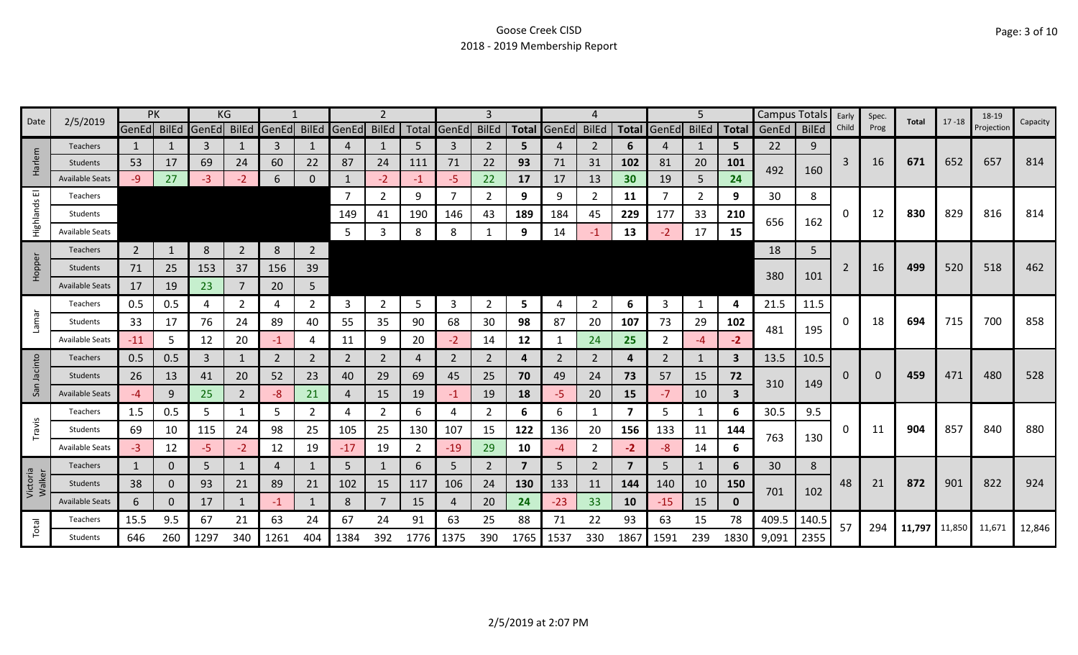| Date               | 2/5/2019               |                | PK       |             | ΚG             |       |                |             |                |      |                | 3              |                |                | 4              |                 |              | 5              |              | <b>Campus Totals</b> |              | Early | Spec.    | Total | $17 - 18$            | 18-19      | Capacity |
|--------------------|------------------------|----------------|----------|-------------|----------------|-------|----------------|-------------|----------------|------|----------------|----------------|----------------|----------------|----------------|-----------------|--------------|----------------|--------------|----------------------|--------------|-------|----------|-------|----------------------|------------|----------|
|                    |                        | GenEd BilEd    |          | GenEd BilEd |                | GenEd |                | BilEd GenEd | <b>BilEd</b>   |      | Total GenEd    | <b>BilEd</b>   |                | Total GenEd    | <b>BilEd</b>   | <b>Total</b>    | <b>GenEd</b> | <b>BilEd</b>   | <b>Total</b> | GenEd                | <b>BilEd</b> | Child | Prog     |       |                      | Projection |          |
|                    | <b>Teachers</b>        | 1              |          | 3           |                | 3     |                | 4           | 1              | .5   | 3              | 2              | 5.             |                | 2              | 6               | 4            |                | 5            | 22                   | 9            |       |          |       |                      |            |          |
| Harlem             | <b>Students</b>        | 53             | 17       | 69          | 24             | 60    | 22             | 87          | 24             | 111  | 71             | 22             | 93             | 71             | 31             | 102             | 81           | 20             | 101          | 492                  | 160          | 3     | 16       | 671   | 652                  | 657        | 814      |
|                    | <b>Available Seats</b> | -9             | 27       | -3          | $-2$           | 6     | 0              |             | $-2$           | -1   | $-5$           | 22             | 17             | 17             | 13             | 30 <sub>2</sub> | 19           | 5              | 24           |                      |              |       |          |       |                      |            |          |
| ш                  | Teachers               |                |          |             |                |       |                | 7           | $\overline{2}$ | 9    | $\overline{7}$ | $\overline{2}$ | 9              | 9              | 2              | 11              | 7            | $\overline{2}$ | 9            | 30                   | 8            |       |          |       |                      |            |          |
| Highlands          | Students               |                |          |             |                |       |                | 149         | 41             | 190  | 146            | 43             | 189            | 184            | 45             | 229             | 177          | 33             | 210          | 656                  | 162          | 0     | 12       | 830   | 829                  | 816        | 814      |
|                    | <b>Available Seats</b> |                |          |             |                |       |                | 5           | 3              | 8    | 8              |                | 9              | 14             | -1             | 13              |              | 17             | 15           |                      |              |       |          |       |                      |            |          |
|                    | Teachers               | $\overline{2}$ |          | 8           | $\overline{2}$ | 8     | $\overline{2}$ |             |                |      |                |                |                |                |                |                 |              |                |              | 18                   | 5            |       |          |       |                      |            |          |
| Hopper             | <b>Students</b>        | 71             | 25       | 153         | 37             | 156   | 39             |             |                |      |                |                |                |                |                |                 |              |                |              |                      |              | 2     | 16       | 499   | 520                  | 518        | 462      |
|                    | <b>Available Seats</b> | 17             | 19       | 23          |                | 20    | 5              |             |                |      |                |                |                |                |                |                 |              |                |              | 380                  | 101          |       |          |       |                      |            |          |
|                    | Teachers               | 0.5            | 0.5      | 4           | $\overline{2}$ | 4     | $\overline{2}$ | 3           | $\mathbf{2}$   | 5    | 3              | 2              | 5              | 4              | 2              | 6               | 3            | 1              | 4            | 21.5                 | 11.5         |       |          |       |                      |            |          |
| Lamar              | Students               | 33             | 17       | 76          | 24             | 89    | 40             | 55          | 35             | 90   | 68             | 30             | 98             | 87             | 20             | 107             | 73           | 29             | 102          |                      |              | 0     | 18       | 694   | 715                  | 700        | 858      |
|                    | <b>Available Seats</b> | $-11$          | 5        | 12          | 20             | -1    | 4              | 11          | 9              | 20   | $-2$           | 14             | 12             |                | 24             | 25              | 2            | -4             | $-2$         | 481                  | 195          |       |          |       |                      |            |          |
| icinto             | <b>Teachers</b>        | 0.5            | 0.5      | 3           | $\mathbf{1}$   | 2     | $\overline{2}$ | 2           | $\overline{2}$ | 4    | $\overline{2}$ | 2              | 4              | $\overline{2}$ | $\overline{2}$ | 4               | 2            | $\mathbf{1}$   | 3            | 13.5                 | 10.5         |       |          |       |                      |            |          |
|                    | <b>Students</b>        | 26             | 13       | 41          | 20             | 52    | 23             | 40          | 29             | 69   | 45             | 25             | 70             | 49             | 24             | 73              | 57           | 15             | 72           |                      |              | 0     | $\Omega$ | 459   | 471                  | 480        | 528      |
| Sā                 | <b>Available Seats</b> | $-4$           | 9        | 25          | $\overline{2}$ | -8    | 21             | 4           | 15             | 19   | $-1$           | 19             | 18             | -5.            | 20             | 15              | $-7$         | 10             | $\mathbf{3}$ | 310                  | 149          |       |          |       |                      |            |          |
|                    | Teachers               | 1.5            | 0.5      | 5           | 1              | 5     | $\overline{2}$ | 4           | $\overline{2}$ | 6    | 4              | 2              | 6              | 6              | 1              | 7               | 5            | $\mathbf{1}$   | 6            | 30.5                 | 9.5          |       |          |       |                      |            |          |
| Travis             | Students               | 69             | 10       | 115         | 24             | 98    | 25             | 105         | 25             | 130  | 107            | 15             | 122            | 136            | 20             | 156             | 133          | 11             | 144          |                      |              | 0     | 11       | 904   | 857                  | 840        | 880      |
|                    | Available Seat         | $-3$           | 12       | $-5$        | $-2$           | 12    | 19             | $-17$       | 19             | 2    | $-19$          | 29             | 10             | -4             | $\overline{2}$ | $-2$            | $-8$         | 14             | 6            | 763                  | 130          |       |          |       |                      |            |          |
|                    | <b>Teachers</b>        | $\mathbf{1}$   | 0        | 5           | 1              | 4     | 1              | 5           | $\mathbf{1}$   | 6    | 5              | 2              | $\overline{7}$ | 5              | $\overline{2}$ | $\overline{7}$  | 5            | 1              | 6            | 30                   | 8            |       |          |       |                      |            |          |
| Victoria<br>Walker | <b>Students</b>        | 38             | 0        | 93          | 21             | 89    | 21             | 102         | 15             | 117  | 106            | 24             | 130            | 133            | 11             | 144             | 140          | 10             | 150          |                      |              | 48    | 21       | 872   | 901                  | 822        | 924      |
|                    | Available Seats        | 6              | $\Omega$ | 17          | $\mathbf{1}$   | $-1$  | $\mathbf{1}$   | 8           | $\overline{7}$ | 15   | 4              | 20             | 24             | $-23$          | 33             | 10              | $-15$        | 15             | $\mathbf 0$  | 701                  | 102          |       |          |       |                      |            |          |
|                    | Teachers               | 15.5           | 9.5      | 67          | 21             | 63    | 24             | 67          | 24             | 91   | 63             | 25             | 88             | 71             | 22             | 93              | 63           | 15             | 78           | 409.5                | 140.5        |       |          |       |                      |            |          |
| Total              | <b>Students</b>        | 646            | 260      | 1297        | 340            | 1261  | 404            | 1384        | 392            | 1776 | 1375           | 390            | 1765           | 1537           | 330            | 1867            | 1591         | 239            | 1830         | 9,091                | 2355         | 57    | 294      |       | 11,797 11,850 11,671 |            | 12,846   |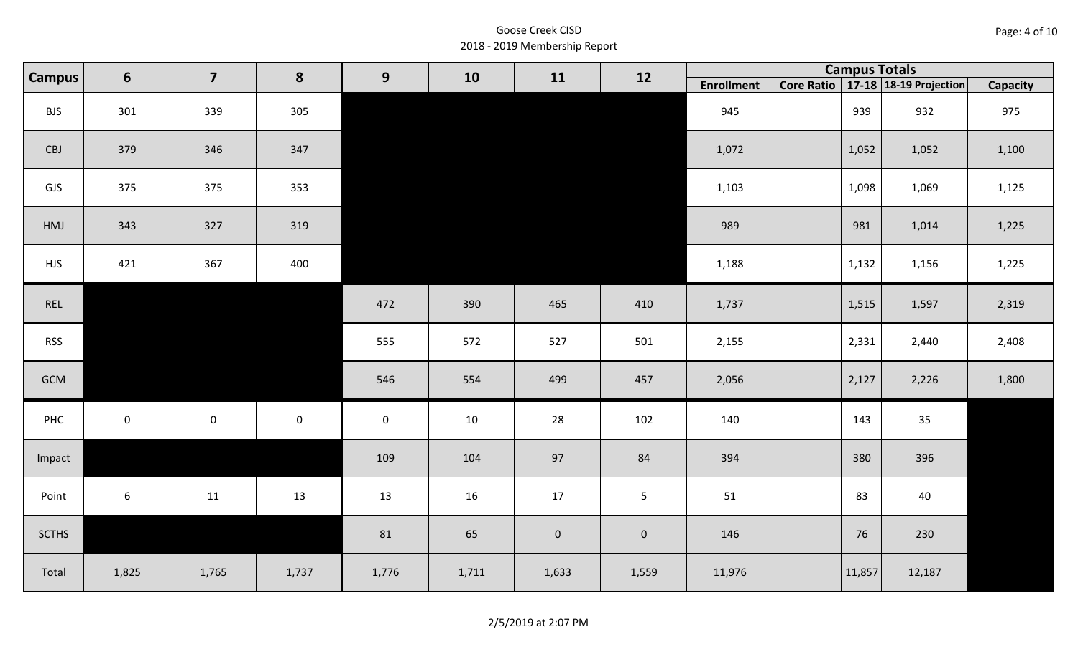| Page: 4 of 10 |  |
|---------------|--|
|---------------|--|

| <b>Campus</b> | $6\phantom{1}$ | $\overline{\mathbf{z}}$<br>8<br>9<br>10<br>12<br>11 |             |                     | <b>Campus Totals</b> |             |                |                   |        |                                       |          |
|---------------|----------------|-----------------------------------------------------|-------------|---------------------|----------------------|-------------|----------------|-------------------|--------|---------------------------------------|----------|
|               |                |                                                     |             |                     |                      |             |                | <b>Enrollment</b> |        | Core Ratio   17-18   18-19 Projection | Capacity |
| <b>BJS</b>    | 301            | 339                                                 | 305         |                     |                      |             |                | 945               | 939    | 932                                   | 975      |
| CBJ           | 379            | 346                                                 | 347         |                     |                      |             |                | 1,072             | 1,052  | 1,052                                 | 1,100    |
| GJS           | 375            | 375                                                 | 353         |                     |                      |             |                | 1,103             | 1,098  | 1,069                                 | 1,125    |
| HMJ           | 343            | 327                                                 | 319         |                     |                      |             |                | 989               | 981    | 1,014                                 | 1,225    |
| <b>HJS</b>    | 421            | 367                                                 | 400         |                     |                      |             |                | 1,188             | 1,132  | 1,156                                 | 1,225    |
| REL           |                |                                                     |             | 472                 | 390                  | 465         | 410            | 1,737             | 1,515  | 1,597                                 | 2,319    |
| <b>RSS</b>    |                |                                                     |             | 555                 | 572                  | 527         | 501            | 2,155             | 2,331  | 2,440                                 | 2,408    |
| GCM           |                |                                                     |             | 546                 | 554                  | 499         | 457            | 2,056             | 2,127  | 2,226                                 | 1,800    |
| PHC           | $\overline{0}$ | $\mathsf{O}\xspace$                                 | $\mathbf 0$ | $\mathsf{O}\xspace$ | 10                   | 28          | 102            | 140               | 143    | 35                                    |          |
| Impact        |                |                                                     |             | 109                 | 104                  | 97          | 84             | 394               | 380    | 396                                   |          |
| Point         | 6              | 11                                                  | 13          | 13                  | 16                   | 17          | 5 <sup>1</sup> | 51                | 83     | 40                                    |          |
| <b>SCTHS</b>  |                |                                                     |             | 81                  | 65                   | $\mathbf 0$ | $\mathbf 0$    | 146               | 76     | 230                                   |          |
| Total         | 1,825          | 1,765                                               | 1,737       | 1,776               | 1,711                | 1,633       | 1,559          | 11,976            | 11,857 | 12,187                                |          |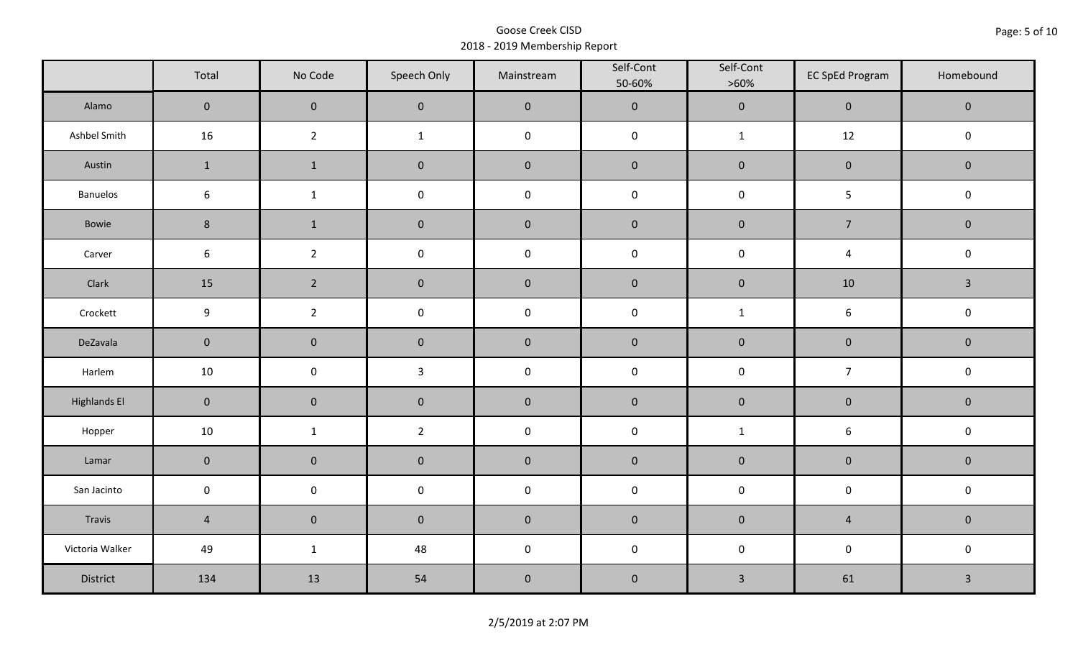|                     | Total            | No Code        | Speech Only    | Mainstream          | Self-Cont<br>50-60% | Self-Cont<br>$>60\%$ | <b>EC SpEd Program</b> | Homebound      |
|---------------------|------------------|----------------|----------------|---------------------|---------------------|----------------------|------------------------|----------------|
| Alamo               | $\overline{0}$   | $\mathbf 0$    | $\mathbf 0$    | $\mathbf 0$         | $\pmb{0}$           | $\pmb{0}$            | $\mathbf 0$            | $\mathbf 0$    |
| Ashbel Smith        | 16               | $\overline{2}$ | $\mathbf{1}$   | $\pmb{0}$           | $\pmb{0}$           | $\mathbf{1}$         | 12                     | $\mathbf 0$    |
| Austin              | $\mathbf{1}$     | $\mathbf{1}$   | $\pmb{0}$      | $\pmb{0}$           | $\pmb{0}$           | $\pmb{0}$            | $\mathsf{O}\xspace$    | $\mathbf 0$    |
| Banuelos            | $\boldsymbol{6}$ | $\mathbf{1}$   | $\pmb{0}$      | $\pmb{0}$           | $\pmb{0}$           | $\pmb{0}$            | 5                      | $\mathsf 0$    |
| Bowie               | $\,8\,$          | $\mathbf{1}$   | $\pmb{0}$      | $\mathbf 0$         | $\pmb{0}$           | $\pmb{0}$            | $\overline{7}$         | $\mathbf 0$    |
| Carver              | $\boldsymbol{6}$ | $\overline{2}$ | $\pmb{0}$      | $\pmb{0}$           | $\pmb{0}$           | $\pmb{0}$            | $\overline{4}$         | $\pmb{0}$      |
| Clark               | 15               | $\overline{2}$ | $\pmb{0}$      | $\pmb{0}$           | $\pmb{0}$           | $\pmb{0}$            | 10                     | $\overline{3}$ |
| Crockett            | $\boldsymbol{9}$ | $\overline{2}$ | $\mathbf 0$    | $\pmb{0}$           | $\pmb{0}$           | $\mathbf{1}$         | 6                      | $\mathsf 0$    |
| DeZavala            | $\pmb{0}$        | $\pmb{0}$      | $\pmb{0}$      | $\pmb{0}$           | $\pmb{0}$           | $\pmb{0}$            | $\pmb{0}$              | $\mathbf 0$    |
| Harlem              | 10               | $\pmb{0}$      | $\mathbf{3}$   | $\pmb{0}$           | $\pmb{0}$           | $\pmb{0}$            | $\overline{7}$         | $\mathsf 0$    |
| <b>Highlands El</b> | $\mathbf 0$      | $\pmb{0}$      | $\pmb{0}$      | $\pmb{0}$           | $\pmb{0}$           | $\pmb{0}$            | $\pmb{0}$              | $\mathbf 0$    |
| Hopper              | $10\,$           | $\mathbf{1}$   | $\overline{2}$ | $\pmb{0}$           | $\pmb{0}$           | $\mathbf{1}$         | $\boldsymbol{6}$       | $\pmb{0}$      |
| Lamar               | $\mathbf 0$      | $\pmb{0}$      | $\pmb{0}$      | $\pmb{0}$           | $\pmb{0}$           | $\pmb{0}$            | $\pmb{0}$              | $\pmb{0}$      |
| San Jacinto         | $\mathbf 0$      | $\pmb{0}$      | $\pmb{0}$      | $\pmb{0}$           | $\pmb{0}$           | $\pmb{0}$            | $\mathsf{O}\xspace$    | $\mathbf 0$    |
| Travis              | $\overline{4}$   | $\pmb{0}$      | $\pmb{0}$      | $\mathsf{O}\xspace$ | $\pmb{0}$           | $\pmb{0}$            | $\overline{4}$         | $\mathbf 0$    |
| Victoria Walker     | 49               | $\mathbf{1}$   | 48             | $\pmb{0}$           | $\pmb{0}$           | $\pmb{0}$            | $\pmb{0}$              | $\mathbf 0$    |
| District            | 134              | 13             | 54             | $\pmb{0}$           | $\pmb{0}$           | $\mathbf{3}$         | 61                     | $\mathbf{3}$   |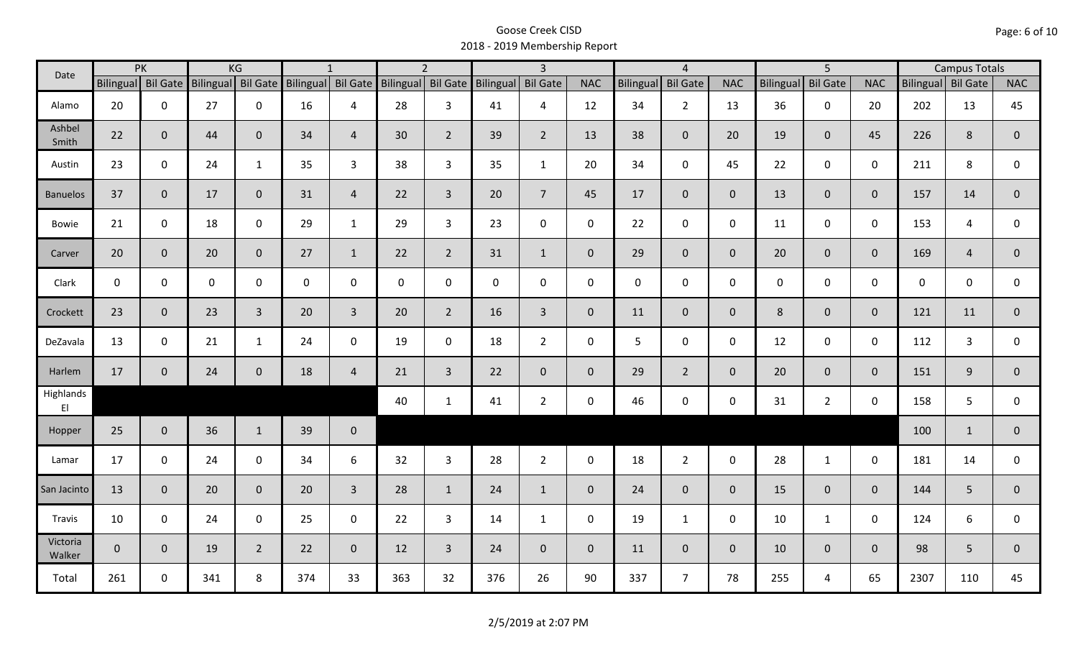| Date               |                    | PK           |             | KG             |                                       | $\mathbf{1}$   |                  | $\overline{2}$ |                    | $\overline{\mathbf{3}}$ |                |                  | $\overline{4}$  |                |                  | $\overline{5}$  |                |                    | <b>Campus Totals</b> |                |
|--------------------|--------------------|--------------|-------------|----------------|---------------------------------------|----------------|------------------|----------------|--------------------|-------------------------|----------------|------------------|-----------------|----------------|------------------|-----------------|----------------|--------------------|----------------------|----------------|
|                    | Bilingual Bil Gate |              |             |                | Bilingual Bil Gate Bilingual Bil Gate |                | <b>Bilingual</b> |                | Bil Gate Bilingual | <b>Bil Gate</b>         | <b>NAC</b>     | <b>Bilingual</b> | <b>Bil Gate</b> | <b>NAC</b>     | <b>Bilingual</b> | <b>Bil Gate</b> | <b>NAC</b>     | Bilingual Bil Gate |                      | <b>NAC</b>     |
| Alamo              | 20                 | $\mathbf 0$  | 27          | $\mathbf 0$    | 16                                    | 4              | 28               | $\overline{3}$ | 41                 | 4                       | 12             | 34               | $\overline{2}$  | 13             | 36               | $\mathbf 0$     | 20             | 202                | 13                   | 45             |
| Ashbel<br>Smith    | 22                 | $\mathbf 0$  | 44          | $\mathbf{0}$   | 34                                    | $\overline{4}$ | 30               | $\overline{2}$ | 39                 | $2^{\circ}$             | 13             | 38               | $\overline{0}$  | 20             | 19               | $\overline{0}$  | 45             | 226                | 8                    | $\mathbf{0}$   |
| Austin             | 23                 | $\mathbf 0$  | 24          | $\mathbf{1}$   | 35                                    | $\overline{3}$ | 38               | $\mathbf{3}$   | 35                 | $\mathbf{1}$            | 20             | 34               | $\mathbf 0$     | 45             | 22               | $\mathbf 0$     | $\mathbf 0$    | 211                | 8                    | $\mathbf 0$    |
| <b>Banuelos</b>    | 37                 | $\mathbf{0}$ | 17          | $\overline{0}$ | 31                                    | $\overline{4}$ | 22               | $\overline{3}$ | 20                 | $\overline{7}$          | 45             | 17               | $\overline{0}$  | $\overline{0}$ | 13               | $\overline{0}$  | $\overline{0}$ | 157                | 14                   | $\mathbf{0}$   |
| <b>Bowie</b>       | 21                 | $\mathbf 0$  | 18          | $\mathbf 0$    | 29                                    | $\mathbf{1}$   | 29               | $\overline{3}$ | 23                 | $\mathbf 0$             | $\mathbf 0$    | 22               | $\mathbf 0$     | $\mathsf{O}$   | 11               | $\mathbf 0$     | $\mathbf 0$    | 153                | 4                    | $\mathbf 0$    |
| Carver             | 20                 | $\mathbf{0}$ | 20          | $\mathbf 0$    | 27                                    | $\mathbf{1}$   | 22               | $2^{\circ}$    | 31                 | $\mathbf{1}$            | $\overline{0}$ | 29               | $\overline{0}$  | $\overline{0}$ | 20               | $\overline{0}$  | $\overline{0}$ | 169                | $\overline{4}$       | $\mathbf{0}$   |
| Clark              | $\mathsf{O}$       | $\mathbf 0$  | $\mathbf 0$ | $\mathbf 0$    | $\mathsf{O}$                          | $\mathbf 0$    | $\mathbf 0$      | $\mathbf 0$    | 0                  | $\mathbf 0$             | $\mathbf 0$    | $\mathbf 0$      | $\mathsf 0$     | $\mathsf{O}$   | $\mathbf 0$      | $\mathbf 0$     | $\mathbf 0$    | $\mathbf{0}$       | $\mathbf 0$          | $\mathbf 0$    |
| Crockett           | 23                 | $\mathbf 0$  | 23          | $\overline{3}$ | 20                                    | $\overline{3}$ | 20               | $\overline{2}$ | 16                 | $\overline{3}$          | $\mathbf{0}$   | 11               | $\mathbf{0}$    | $\mathbf 0$    | 8                | $\mathbf{0}$    | $\overline{0}$ | 121                | 11                   | $\mathbf{0}$   |
| DeZavala           | 13                 | $\mathbf 0$  | 21          | $\mathbf{1}$   | 24                                    | $\mathbf 0$    | 19               | $\mathbf 0$    | 18                 | $2^{\circ}$             | $\mathbf 0$    | 5                | $\pmb{0}$       | $\mathbf 0$    | 12               | $\mathbf 0$     | $\mathbf 0$    | 112                | $\overline{3}$       | $\mathbf 0$    |
| Harlem             | 17                 | $\mathbf 0$  | 24          | $\mathbf 0$    | 18                                    | $\overline{4}$ | 21               | $\overline{3}$ | 22                 | $\mathbf{0}$            | $\mathbf{0}$   | 29               | $2^{\circ}$     | $\overline{0}$ | 20               | $\mathbf{0}$    | $\overline{0}$ | 151                | 9                    | $\overline{0}$ |
| Highlands<br>EI    |                    |              |             |                |                                       |                | 40               | $\mathbf{1}$   | 41                 | $\overline{2}$          | $\mathbf 0$    | 46               | $\pmb{0}$       | $\mathsf{O}$   | 31               | $2^{\circ}$     | $\mathbf 0$    | 158                | 5                    | $\mathsf{O}$   |
| Hopper             | 25                 | $\mathbf 0$  | 36          | $\mathbf{1}$   | 39                                    | $\mathbf 0$    |                  |                |                    |                         |                |                  |                 |                |                  |                 |                | 100                | $\mathbf{1}$         | $\mathbf 0$    |
| Lamar              | 17                 | $\mathbf 0$  | 24          | $\mathbf 0$    | 34                                    | 6              | 32               | $\mathbf{3}$   | 28                 | $2^{\circ}$             | $\mathsf{O}$   | 18               | $2^{\circ}$     | $\mathsf{O}$   | 28               | $\mathbf{1}$    | $\mathbf 0$    | 181                | 14                   | $\mathbf 0$    |
| San Jacinto        | 13                 | $\mathbf 0$  | 20          | $\mathbf 0$    | 20                                    | $\overline{3}$ | 28               | $\mathbf{1}$   | 24                 | $\mathbf{1}$            | $\overline{0}$ | 24               | $\overline{0}$  | $\overline{0}$ | 15               | $\mathbf{0}$    | $\overline{0}$ | 144                | 5                    | $\mathbf 0$    |
| Travis             | 10                 | $\mathbf 0$  | 24          | $\mathbf 0$    | 25                                    | $\mathbf 0$    | 22               | $\overline{3}$ | 14                 | $\mathbf{1}$            | $\mathsf{O}$   | 19               | $\mathbf{1}$    | $\mathbf 0$    | 10               | $\mathbf{1}$    | $\mathbf 0$    | 124                | 6                    | $\mathbf 0$    |
| Victoria<br>Walker | $\overline{0}$     | $\mathbf 0$  | 19          | $\overline{2}$ | 22                                    | $\overline{0}$ | 12               | $\overline{3}$ | 24                 | $\overline{0}$          | $\mathbf{0}$   | 11               | $\overline{0}$  | $\overline{0}$ | 10               | $\mathbf{0}$    | $\overline{0}$ | 98                 | 5                    | $\mathbf{0}$   |
| Total              | 261                | $\mathbf 0$  | 341         | 8              | 374                                   | 33             | 363              | 32             | 376                | 26                      | 90             | 337              | $\overline{7}$  | 78             | 255              | 4               | 65             | 2307               | 110                  | 45             |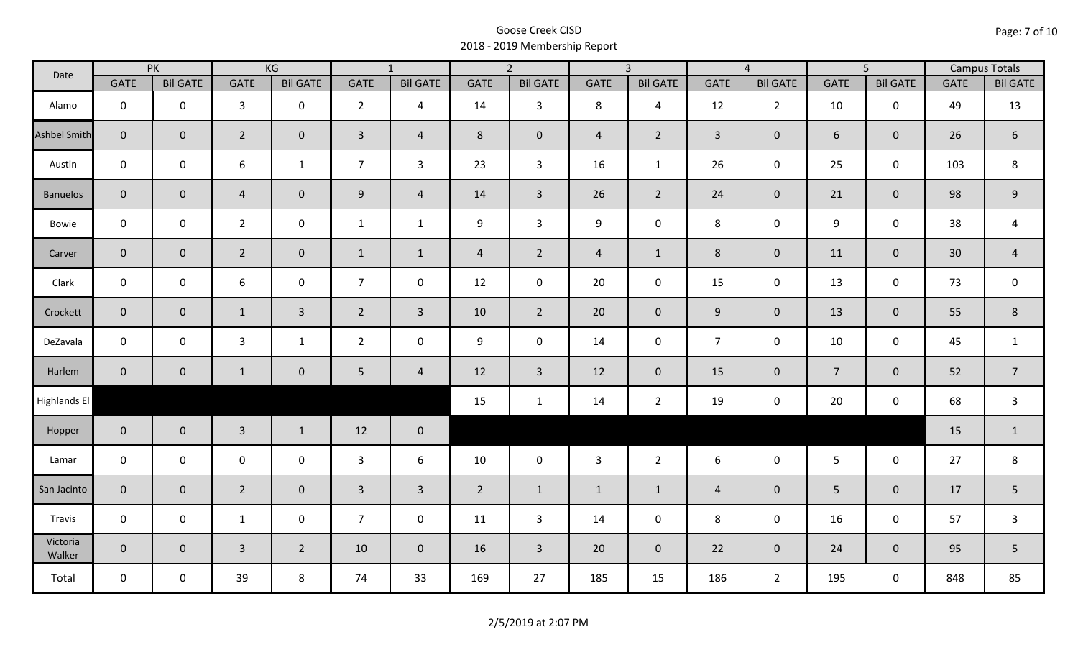| Date                |                | PK              |                  | KG              |                | $\overline{1}$  |                | $\overline{2}$      |                | $\overline{3}$  |                | $\overline{4}$  |                | $\overline{5}$  |             | <b>Campus Totals</b> |
|---------------------|----------------|-----------------|------------------|-----------------|----------------|-----------------|----------------|---------------------|----------------|-----------------|----------------|-----------------|----------------|-----------------|-------------|----------------------|
|                     | <b>GATE</b>    | <b>Bil GATE</b> | <b>GATE</b>      | <b>Bil GATE</b> | <b>GATE</b>    | <b>Bil GATE</b> | <b>GATE</b>    | <b>Bil GATE</b>     | <b>GATE</b>    | <b>Bil GATE</b> | <b>GATE</b>    | <b>Bil GATE</b> | <b>GATE</b>    | <b>Bil GATE</b> | <b>GATE</b> | <b>Bil GATE</b>      |
| Alamo               | $\mathbf 0$    | $\mathbf 0$     | 3                | $\mathbf 0$     | $2^{\circ}$    | 4               | 14             | $\overline{3}$      | 8              | $\overline{4}$  | 12             | $\overline{2}$  | 10             | $\mathbf 0$     | 49          | 13                   |
| <b>Ashbel Smith</b> | $\mathbf{0}$   | $\mathbf{0}$    | $\overline{2}$   | $\overline{0}$  | $\overline{3}$ | $\overline{4}$  | 8              | $\mathbf{0}$        | $\overline{4}$ | $\overline{2}$  | $\overline{3}$ | $\mathbf{0}$    | 6              | $\mathbf{0}$    | 26          | $\sqrt{6}$           |
| Austin              | $\mathbf 0$    | $\mathbf 0$     | $\boldsymbol{6}$ | $\mathbf{1}$    | $\overline{7}$ | $\mathbf{3}$    | 23             | $\mathbf{3}$        | 16             | $\mathbf{1}$    | 26             | $\mathbf 0$     | 25             | $\mathbf 0$     | 103         | $\,8\,$              |
| <b>Banuelos</b>     | $\overline{0}$ | $\overline{0}$  | $\overline{4}$   | $\mathbf{0}$    | 9              | $\overline{4}$  | 14             | $\overline{3}$      | 26             | $\overline{2}$  | 24             | $\mathbf{0}$    | 21             | $\mathbf 0$     | 98          | $9\,$                |
| Bowie               | $\mathbf 0$    | $\mathbf 0$     | $\overline{2}$   | $\mathbf 0$     | $\mathbf{1}$   | $\mathbf{1}$    | 9              | $\overline{3}$      | 9              | $\mathbf 0$     | 8              | 0               | 9              | $\mathbf 0$     | 38          | 4                    |
| Carver              | $\overline{0}$ | $\mathbf{0}$    | $\overline{2}$   | $\overline{0}$  | $\mathbf{1}$   | $\mathbf{1}$    | $\overline{4}$ | $\overline{2}$      | $\overline{4}$ | $\mathbf{1}$    | 8              | $\mathbf 0$     | 11             | $\overline{0}$  | 30          | $\overline{4}$       |
| Clark               | $\mathbf 0$    | $\mathbf 0$     | 6                | $\mathbf 0$     | $\overline{7}$ | $\mathbf 0$     | 12             | $\mathbf 0$         | 20             | $\mathbf 0$     | 15             | $\mathbf 0$     | 13             | $\mathbf 0$     | 73          | $\mathbf 0$          |
| Crockett            | $\overline{0}$ | $\overline{0}$  | $\mathbf{1}$     | $\mathbf{3}$    | $\overline{2}$ | $\mathbf{3}$    | 10             | $\overline{2}$      | 20             | $\overline{0}$  | $9\,$          | $\overline{0}$  | 13             | $\mathbf 0$     | 55          | $\,8\,$              |
| DeZavala            | $\mathbf 0$    | $\mathbf 0$     | $\mathbf{3}$     | $\mathbf{1}$    | $2^{\circ}$    | $\mathbf 0$     | 9              | $\mathbf 0$         | 14             | $\mathbf 0$     | $\overline{7}$ | $\mathbf 0$     | 10             | $\mathbf 0$     | 45          | $\mathbf{1}$         |
| Harlem              | $\overline{0}$ | $\mathbf 0$     | $\mathbf{1}$     | $\mathbf{0}$    | 5 <sub>o</sub> | $\overline{4}$  | 12             | $\mathbf{3}$        | 12             | $\overline{0}$  | 15             | $\mathbf{0}$    | $\overline{7}$ | $\mathbf 0$     | 52          | $\overline{7}$       |
| Highlands El        |                |                 |                  |                 |                |                 | 15             | $\mathbf{1}$        | 14             | $2^{\circ}$     | 19             | 0               | 20             | $\mathbf 0$     | 68          | $\mathsf{3}$         |
| Hopper              | $\overline{0}$ | $\overline{0}$  | $\overline{3}$   | $\mathbf{1}$    | 12             | $\overline{0}$  |                |                     |                |                 |                |                 |                |                 | 15          | $\mathbf{1}$         |
| Lamar               | $\mathbf 0$    | $\mathbf 0$     | $\mathbf 0$      | $\mathbf 0$     | $\mathbf{3}$   | 6               | 10             | $\mathsf{O}\xspace$ | $\mathbf{3}$   | $2^{\circ}$     | 6              | $\mathsf{O}$    | $5\phantom{.}$ | $\mathbf 0$     | 27          | $\,8\,$              |
| San Jacinto         | $\overline{0}$ | $\overline{0}$  | $\overline{2}$   | $\overline{0}$  | $\mathbf{3}$   | $\overline{3}$  | $2^{\circ}$    | $\mathbf{1}$        | $\mathbf{1}$   | $\mathbf{1}$    | $\overline{4}$ | $\mathbf 0$     | 5 <sup>5</sup> | $\mathbf{0}$    | 17          | 5                    |
| Travis              | $\mathbf 0$    | $\mathbf 0$     | $\mathbf{1}$     | $\mathbf 0$     | $\overline{7}$ | $\mathbf 0$     | 11             | $\overline{3}$      | 14             | $\mathbf 0$     | 8              | $\mathbf 0$     | 16             | $\mathbf 0$     | 57          | $\overline{3}$       |
| Victoria<br>Walker  | $\overline{0}$ | $\overline{0}$  | $\overline{3}$   | $\overline{2}$  | 10             | $\mathbf{0}$    | 16             | $\overline{3}$      | 20             | $\overline{0}$  | 22             | $\mathbf 0$     | 24             | $\mathbf{0}$    | 95          | 5                    |
| Total               | $\mathbf 0$    | $\mathbf 0$     | 39               | 8               | 74             | 33              | 169            | 27                  | 185            | 15              | 186            | $\overline{2}$  | 195            | $\mathbf 0$     | 848         | 85                   |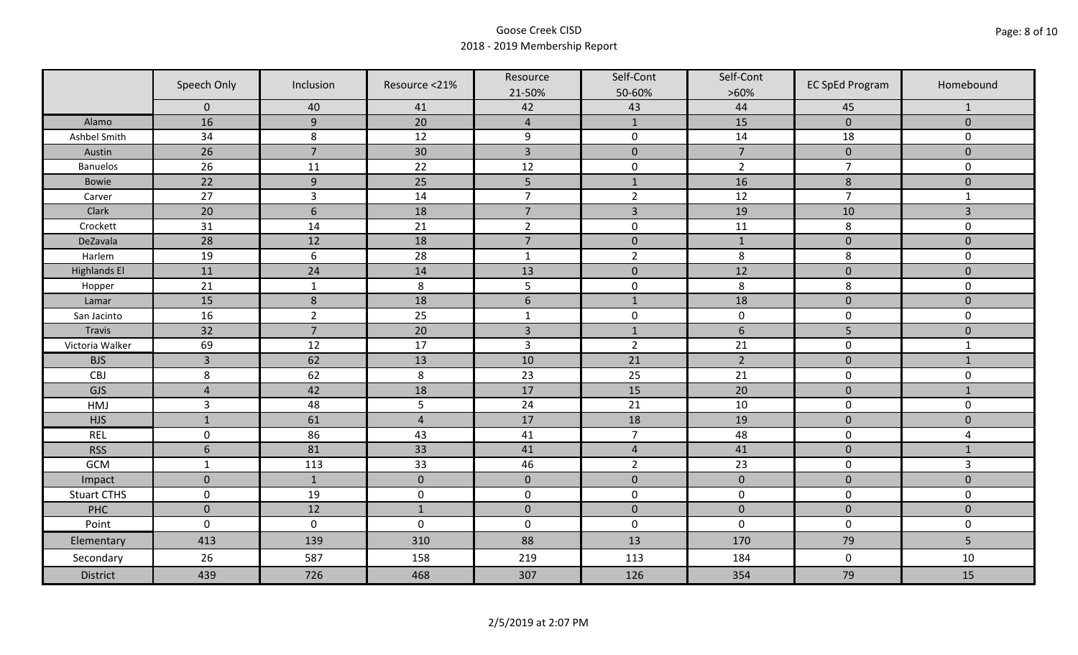|                     | Speech Only      | Inclusion       | Resource <21%  | Resource<br>21-50% | Self-Cont<br>50-60% | Self-Cont<br>$>60\%$ | <b>EC SpEd Program</b> | Homebound      |
|---------------------|------------------|-----------------|----------------|--------------------|---------------------|----------------------|------------------------|----------------|
|                     | $\mathbf 0$      | 40              | 41             | 42                 | 43                  | 44                   | 45                     | $\mathbf{1}$   |
| Alamo               | 16               | 9               | 20             | $\overline{4}$     | $\mathbf{1}$        | 15                   | $\mathbf{0}$           | $\mathbf{0}$   |
| Ashbel Smith        | 34               | 8               | 12             | $\boldsymbol{9}$   | $\pmb{0}$           | 14                   | 18                     | 0              |
| Austin              | 26               | $\overline{7}$  | 30             | $\overline{3}$     | $\mathbf 0$         | $\overline{7}$       | $\mathbf 0$            | $\overline{0}$ |
| <b>Banuelos</b>     | 26               | 11              | 22             | 12                 | $\pmb{0}$           | $\overline{2}$       | $\overline{7}$         | $\mathbf 0$    |
| Bowie               | 22               | $\overline{9}$  | 25             | 5                  | $\mathbf{1}$        | 16                   | $\,8\,$                | $\mathbf 0$    |
| Carver              | 27               | $\overline{3}$  | 14             | $\overline{7}$     | $\overline{2}$      | 12                   | $\overline{7}$         | $\mathbf{1}$   |
| Clark               | 20               | $6\phantom{1}6$ | 18             | $\overline{7}$     | $\overline{3}$      | 19                   | 10                     | 3              |
| Crockett            | 31               | 14              | 21             | $\overline{2}$     | $\pmb{0}$           | 11                   | 8                      | 0              |
| DeZavala            | 28               | 12              | 18             | $\overline{7}$     | $\pmb{0}$           | $1\,$                | $\pmb{0}$              | $\mathbf 0$    |
| Harlem              | 19               | $6\,$           | 28             | $\mathbf{1}$       | $\overline{2}$      | 8                    | 8                      | 0              |
| <b>Highlands El</b> | 11               | 24              | 14             | 13                 | $\pmb{0}$           | 12                   | $\pmb{0}$              | $\mathbf 0$    |
| Hopper              | 21               | $\mathbf 1$     | $\,8\,$        | 5                  | $\pmb{0}$           | 8                    | 8                      | 0              |
| Lamar               | 15               | $\,8\,$         | 18             | $6\phantom{1}$     | $\mathbf{1}$        | 18                   | $\mathbf 0$            | $\overline{0}$ |
| San Jacinto         | 16               | $\overline{2}$  | 25             | $\mathbf{1}$       | $\pmb{0}$           | $\pmb{0}$            | $\pmb{0}$              | 0              |
| Travis              | 32               | $\overline{7}$  | 20             | $\overline{3}$     | $\mathbf{1}$        | $\boldsymbol{6}$     | 5                      | $\mathbf 0$    |
| Victoria Walker     | 69               | 12              | 17             | $\mathsf{3}$       | $\overline{2}$      | 21                   | $\pmb{0}$              | $\mathbf{1}$   |
| <b>BJS</b>          | $\overline{3}$   | 62              | 13             | 10                 | 21                  | $\overline{2}$       | $\pmb{0}$              | $\mathbf{1}$   |
| CBJ                 | 8                | 62              | 8              | 23                 | 25                  | 21                   | $\pmb{0}$              | 0              |
| GJS                 | $\overline{4}$   | 42              | 18             | 17                 | 15                  | 20                   | $\pmb{0}$              | $\mathbf{1}$   |
| HMJ                 | $\overline{3}$   | 48              | 5              | 24                 | 21                  | 10                   | $\mathbf 0$            | 0              |
| <b>HJS</b>          | $\mathbf{1}$     | 61              | $\overline{4}$ | 17                 | 18                  | 19                   | $\mathbf 0$            | $\mathbf 0$    |
| <b>REL</b>          | $\mathsf 0$      | 86              | 43             | 41                 | $\overline{7}$      | 48                   | $\pmb{0}$              | 4              |
| <b>RSS</b>          | $\boldsymbol{6}$ | 81              | 33             | 41                 | $\sqrt{4}$          | 41                   | $\mathbf 0$            | $\mathbf{1}$   |
| GCM                 | $\mathbf{1}$     | 113             | 33             | 46                 | $\overline{2}$      | 23                   | $\pmb{0}$              | $\overline{3}$ |
| Impact              | $\mathbf{0}$     | $\mathbf{1}$    | $\pmb{0}$      | $\mathbf 0$        | $\pmb{0}$           | $\pmb{0}$            | $\pmb{0}$              | $\mathbf 0$    |
| <b>Stuart CTHS</b>  | $\pmb{0}$        | 19              | $\pmb{0}$      | $\pmb{0}$          | $\pmb{0}$           | $\pmb{0}$            | $\pmb{0}$              | 0              |
| PHC                 | $\mathbf 0$      | 12              | $\mathbf{1}$   | $\mathbf 0$        | $\mathbf 0$         | $\mathbf 0$          | $\mathbf 0$            | $\mathbf 0$    |
| Point               | $\mathbf 0$      | $\pmb{0}$       | $\pmb{0}$      | $\pmb{0}$          | $\pmb{0}$           | $\mathbf 0$          | $\mathbf 0$            | 0              |
| Elementary          | 413              | 139             | 310            | 88                 | 13                  | 170                  | 79                     | 5              |
| Secondary           | 26               | 587             | 158            | 219                | 113                 | 184                  | $\pmb{0}$              | 10             |
| <b>District</b>     | 439              | 726             | 468            | 307                | 126                 | 354                  | 79                     | 15             |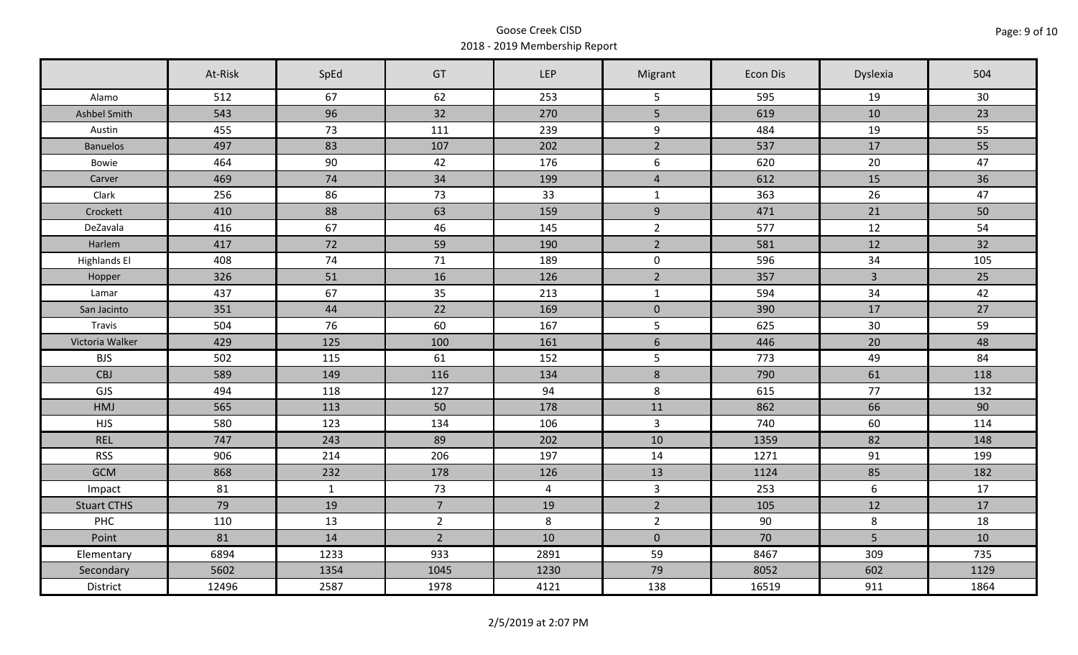|                     | At-Risk | SpEd         | GT             | <b>LEP</b>     | Migrant          | Econ Dis | Dyslexia        | 504  |
|---------------------|---------|--------------|----------------|----------------|------------------|----------|-----------------|------|
| Alamo               | 512     | 67           | 62             | 253            | 5                | 595      | 19              | 30   |
| Ashbel Smith        | 543     | 96           | 32             | 270            | 5                | 619      | 10              | 23   |
| Austin              | 455     | 73           | 111            | 239            | 9                | 484      | 19              | 55   |
| <b>Banuelos</b>     | 497     | 83           | 107            | 202            | $2^{\circ}$      | 537      | 17              | 55   |
| Bowie               | 464     | 90           | 42             | 176            | $\boldsymbol{6}$ | 620      | 20              | 47   |
| Carver              | 469     | 74           | 34             | 199            | $\overline{4}$   | 612      | 15              | 36   |
| Clark               | 256     | 86           | 73             | 33             | $\mathbf{1}$     | 363      | 26              | 47   |
| Crockett            | 410     | 88           | 63             | 159            | 9                | 471      | 21              | 50   |
| DeZavala            | 416     | 67           | 46             | 145            | $\overline{2}$   | 577      | 12              | 54   |
| Harlem              | 417     | 72           | 59             | 190            | $2^{\circ}$      | 581      | 12              | 32   |
| <b>Highlands El</b> | 408     | 74           | 71             | 189            | $\mathbf 0$      | 596      | 34              | 105  |
| Hopper              | 326     | 51           | 16             | 126            | $\overline{2}$   | 357      | $\overline{3}$  | 25   |
| Lamar               | 437     | 67           | 35             | 213            | $\mathbf{1}$     | 594      | 34              | 42   |
| San Jacinto         | 351     | 44           | 22             | 169            | $\overline{0}$   | 390      | 17              | 27   |
| Travis              | 504     | 76           | 60             | 167            | 5                | 625      | 30              | 59   |
| Victoria Walker     | 429     | 125          | 100            | 161            | $\sqrt{6}$       | 446      | 20              | 48   |
| <b>BJS</b>          | 502     | 115          | 61             | 152            | 5                | 773      | 49              | 84   |
| <b>CBJ</b>          | 589     | 149          | 116            | 134            | $\bf 8$          | 790      | 61              | 118  |
| GJS                 | 494     | 118          | 127            | 94             | 8                | 615      | 77              | 132  |
| HMJ                 | 565     | 113          | 50             | 178            | 11               | 862      | 66              | 90   |
| <b>HJS</b>          | 580     | 123          | 134            | 106            | $\overline{3}$   | 740      | 60              | 114  |
| <b>REL</b>          | 747     | 243          | 89             | 202            | 10               | 1359     | 82              | 148  |
| <b>RSS</b>          | 906     | 214          | 206            | 197            | 14               | 1271     | 91              | 199  |
| <b>GCM</b>          | 868     | 232          | 178            | 126            | 13               | 1124     | 85              | 182  |
| Impact              | 81      | $\mathbf{1}$ | 73             | $\overline{4}$ | $\overline{3}$   | 253      | 6               | 17   |
| <b>Stuart CTHS</b>  | 79      | 19           | 7 <sup>1</sup> | 19             | $\overline{2}$   | 105      | 12              | 17   |
| PHC                 | 110     | 13           | $\overline{2}$ | 8              | $\overline{2}$   | 90       | 8               | 18   |
| Point               | 81      | 14           | $\overline{2}$ | 10             | $\mathbf 0$      | 70       | $5\overline{)}$ | 10   |
| Elementary          | 6894    | 1233         | 933            | 2891           | 59               | 8467     | 309             | 735  |
| Secondary           | 5602    | 1354         | 1045           | 1230           | 79               | 8052     | 602             | 1129 |
| District            | 12496   | 2587         | 1978           | 4121           | 138              | 16519    | 911             | 1864 |